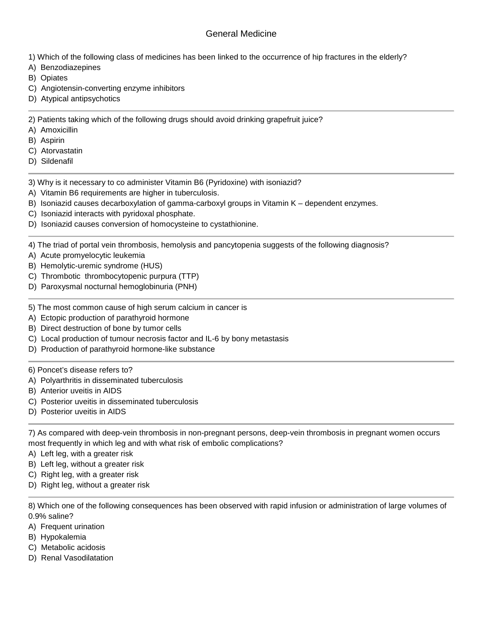## General Medicine

- 1) Which of the following class of medicines has been linked to the occurrence of hip fractures in the elderly?
- A) Benzodiazepines
- B) Opiates
- C) Angiotensin-converting enzyme inhibitors
- D) Atypical antipsychotics

2) Patients taking which of the following drugs should avoid drinking grapefruit juice?

- A) Amoxicillin
- B) Aspirin
- C) Atorvastatin
- D) Sildenafil
- 3) Why is it necessary to co administer Vitamin B6 (Pyridoxine) with isoniazid?
- A) Vitamin B6 requirements are higher in tuberculosis.
- B) Isoniazid causes decarboxylation of gamma-carboxyl groups in Vitamin  $K -$  dependent enzymes.
- C) Isoniazid interacts with pyridoxal phosphate.
- D) Isoniazid causes conversion of homocysteine to cystathionine.

4) The triad of portal vein thrombosis, hemolysis and pancytopenia suggests of the following diagnosis?

- A) Acute promyelocytic leukemia
- B) Hemolytic-uremic syndrome (HUS)
- C) Thrombotic thrombocytopenic purpura (TTP)
- D) Paroxysmal nocturnal hemoglobinuria (PNH)
- 5) The most common cause of high serum calcium in cancer is
- A) Ectopic production of parathyroid hormone
- B) Direct destruction of bone by tumor cells
- C) Local production of tumour necrosis factor and IL-6 by bony metastasis
- D) Production of parathyroid hormone-like substance

## 6) Poncet's disease refers to?

- A) Polyarthritis in disseminated tuberculosis
- B) Anterior uveitis in AIDS
- C) Posterior uveitis in disseminated tuberculosis
- D) Posterior uveitis in AIDS

7) As compared with deep-vein thrombosis in non-pregnant persons, deep-vein thrombosis in pregnant women occurs most frequently in which leg and with what risk of embolic complications?

- A) Left leg, with a greater risk
- B) Left leg, without a greater risk
- C) Right leg, with a greater risk
- D) Right leg, without a greater risk

8) Which one of the following consequences has been observed with rapid infusion or administration of large volumes of 0.9% saline?

- A) Frequent urination
- B) Hypokalemia
- C) Metabolic acidosis
- D) Renal Vasodilatation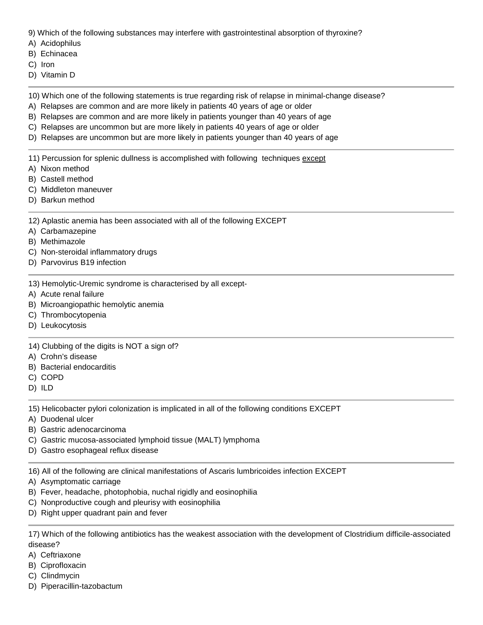9) Which of the following substances may interfere with gastrointestinal absorption of thyroxine?

- A) Acidophilus
- B) Echinacea
- C) Iron
- D) Vitamin D

10) Which one of the following statements is true regarding risk of relapse in minimal-change disease?

- A) Relapses are common and are more likely in patients 40 years of age or older
- B) Relapses are common and are more likely in patients younger than 40 years of age
- C) Relapses are uncommon but are more likely in patients 40 years of age or older
- D) Relapses are uncommon but are more likely in patients younger than 40 years of age

11) Percussion for splenic dullness is accomplished with following techniques except

- A) Nixon method
- B) Castell method
- C) Middleton maneuver
- D) Barkun method

12) Aplastic anemia has been associated with all of the following EXCEPT

- A) Carbamazepine
- B) Methimazole
- C) Non-steroidal inflammatory drugs
- D) Parvovirus B19 infection
- 13) Hemolytic-Uremic syndrome is characterised by all except-
- A) Acute renal failure
- B) Microangiopathic hemolytic anemia
- C) Thrombocytopenia
- D) Leukocytosis

14) Clubbing of the digits is NOT a sign of?

- A) Crohn's disease
- B) Bacterial endocarditis
- C) COPD
- D) ILD

15) Helicobacter pylori colonization is implicated in all of the following conditions EXCEPT

A) Duodenal ulcer

B) Gastric adenocarcinoma

- C) Gastric mucosa-associated lymphoid tissue (MALT) lymphoma
- D) Gastro esophageal reflux disease

16) All of the following are clinical manifestations of Ascaris lumbricoides infection EXCEPT

- A) Asymptomatic carriage
- B) Fever, headache, photophobia, nuchal rigidly and eosinophilia
- C) Nonproductive cough and pleurisy with eosinophilia
- D) Right upper quadrant pain and fever

17) Which of the following antibiotics has the weakest association with the development of Clostridium difficile-associated disease?

- A) Ceftriaxone
- B) Ciprofloxacin
- C) Clindmycin
- D) Piperacillin-tazobactum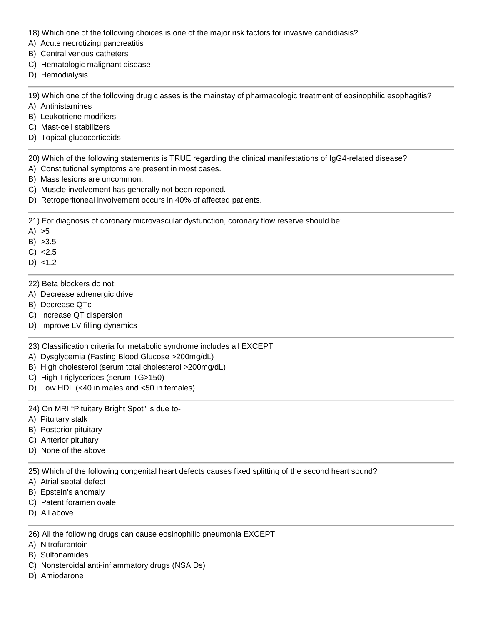18) Which one of the following choices is one of the major risk factors for invasive candidiasis?

A) Acute necrotizing pancreatitis

B) Central venous catheters

- C) Hematologic malignant disease
- D) Hemodialysis

19) Which one of the following drug classes is the mainstay of pharmacologic treatment of eosinophilic esophagitis?

- A) Antihistamines
- B) Leukotriene modifiers
- C) Mast-cell stabilizers
- D) Topical glucocorticoids

20) Which of the following statements is TRUE regarding the clinical manifestations of IgG4-related disease?

A) Constitutional symptoms are present in most cases.

- B) Mass lesions are uncommon.
- C) Muscle involvement has generally not been reported.
- D) Retroperitoneal involvement occurs in 40% of affected patients.

21) For diagnosis of coronary microvascular dysfunction, coronary flow reserve should be:

- $A) > 5$
- B) >3.5

 $C) < 2.5$ 

- $D) < 1.2$
- 22) Beta blockers do not:
- A) Decrease adrenergic drive
- B) Decrease QTc
- C) Increase QT dispersion
- D) Improve LV filling dynamics
- 23) Classification criteria for metabolic syndrome includes all EXCEPT
- A) Dysglycemia (Fasting Blood Glucose >200mg/dL)
- B) High cholesterol (serum total cholesterol >200mg/dL)
- C) High Triglycerides (serum TG>150)
- D) Low HDL (<40 in males and <50 in females)

24) On MRI "Pituitary Bright Spot" is due to-

- A) Pituitary stalk
- B) Posterior pituitary
- C) Anterior pituitary
- D) None of the above

25) Which of the following congenital heart defects causes fixed splitting of the second heart sound?

- A) Atrial septal defect
- B) Epstein's anomaly
- C) Patent foramen ovale
- D) All above

26) All the following drugs can cause eosinophilic pneumonia EXCEPT

- A) Nitrofurantoin
- B) Sulfonamides
- C) Nonsteroidal anti-inflammatory drugs (NSAIDs)
- D) Amiodarone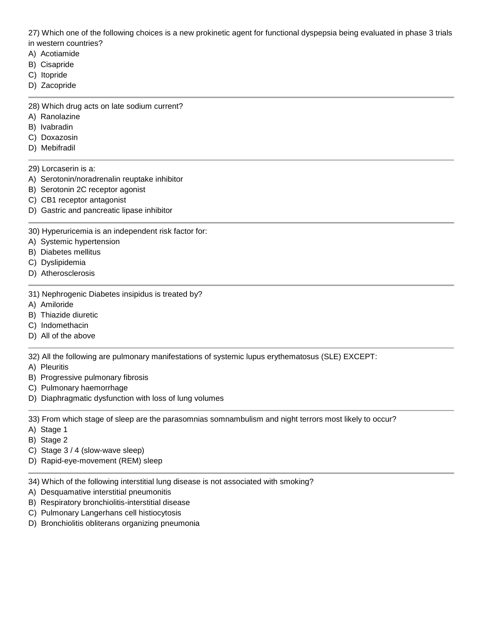27) Which one of the following choices is a new prokinetic agent for functional dyspepsia being evaluated in phase 3 trials in western countries?

- A) Acotiamide
- B) Cisapride
- C) Itopride
- D) Zacopride

28) Which drug acts on late sodium current?

- A) Ranolazine
- B) Ivabradin
- C) Doxazosin
- D) Mebifradil
- 29) Lorcaserin is a:
- A) Serotonin/noradrenalin reuptake inhibitor
- B) Serotonin 2C receptor agonist
- C) CB1 receptor antagonist
- D) Gastric and pancreatic lipase inhibitor
- 30) Hyperuricemia is an independent risk factor for:
- A) Systemic hypertension
- B) Diabetes mellitus
- C) Dyslipidemia
- D) Atherosclerosis
- 31) Nephrogenic Diabetes insipidus is treated by?
- A) Amiloride
- B) Thiazide diuretic
- C) Indomethacin
- D) All of the above

32) All the following are pulmonary manifestations of systemic lupus erythematosus (SLE) EXCEPT:

- A) Pleuritis
- B) Progressive pulmonary fibrosis
- C) Pulmonary haemorrhage
- D) Diaphragmatic dysfunction with loss of lung volumes

33) From which stage of sleep are the parasomnias somnambulism and night terrors most likely to occur?

- A) Stage 1
- B) Stage 2
- C) Stage 3 / 4 (slow-wave sleep)
- D) Rapid-eye-movement (REM) sleep
- 34) Which of the following interstitial lung disease is not associated with smoking?
- A) Desquamative interstitial pneumonitis
- B) Respiratory bronchiolitis-interstitial disease
- C) Pulmonary Langerhans cell histiocytosis
- D) Bronchiolitis obliterans organizing pneumonia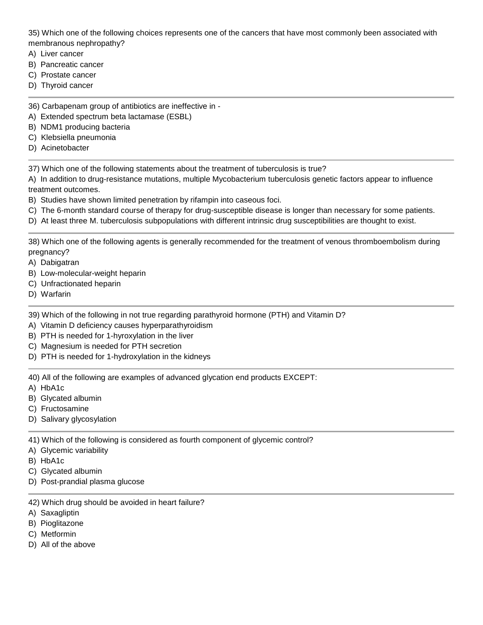35) Which one of the following choices represents one of the cancers that have most commonly been associated with membranous nephropathy?

- A) Liver cancer
- B) Pancreatic cancer
- C) Prostate cancer
- D) Thyroid cancer
- 36) Carbapenam group of antibiotics are ineffective in -
- A) Extended spectrum beta lactamase (ESBL)
- B) NDM1 producing bacteria
- C) Klebsiella pneumonia
- D) Acinetobacter

37) Which one of the following statements about the treatment of tuberculosis is true?

A) In addition to drug-resistance mutations, multiple Mycobacterium tuberculosis genetic factors appear to influence treatment outcomes.

- B) Studies have shown limited penetration by rifampin into caseous foci.
- C) The 6-month standard course of therapy for drug-susceptible disease is longer than necessary for some patients.
- D) At least three M. tuberculosis subpopulations with different intrinsic drug susceptibilities are thought to exist.

38) Which one of the following agents is generally recommended for the treatment of venous thromboembolism during pregnancy?

- A) Dabigatran
- B) Low-molecular-weight heparin
- C) Unfractionated heparin
- D) Warfarin

39) Which of the following in not true regarding parathyroid hormone (PTH) and Vitamin D?

- A) Vitamin D deficiency causes hyperparathyroidism
- B) PTH is needed for 1-hyroxylation in the liver
- C) Magnesium is needed for PTH secretion
- D) PTH is needed for 1-hydroxylation in the kidneys

40) All of the following are examples of advanced glycation end products EXCEPT:

- A) HbA1c
- B) Glycated albumin
- C) Fructosamine
- D) Salivary glycosylation

41) Which of the following is considered as fourth component of glycemic control?

- A) Glycemic variability
- B) HbA1c
- C) Glycated albumin
- D) Post-prandial plasma glucose
- 42) Which drug should be avoided in heart failure?
- A) Saxagliptin
- B) Pioglitazone
- C) Metformin
- D) All of the above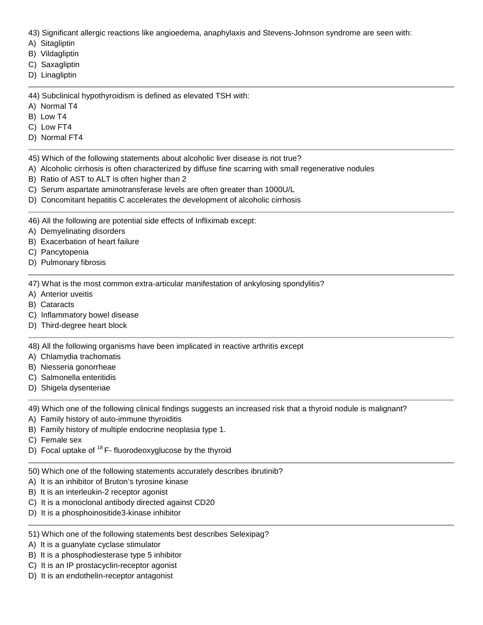43) Significant allergic reactions like angioedema, anaphylaxis and Stevens-Johnson syndrome are seen with:

- A) Sitagliptin
- B) Vildagliptin
- C) Saxagliptin
- D) Linagliptin

44) Subclinical hypothyroidism is defined as elevated TSH with:

- A) Normal T4
- B) Low T4
- C) Low FT4
- D) Normal FT4

45) Which of the following statements about alcoholic liver disease is not true?

- A) Alcoholic cirrhosis is often characterized by diffuse fine scarring with small regenerative nodules
- B) Ratio of AST to ALT is often higher than 2
- C) Serum aspartate aminotransferase levels are often greater than 1000U/L
- D) Concomitant hepatitis C accelerates the development of alcoholic cirrhosis

46) All the following are potential side effects of Infliximab except:

- A) Demyelinating disorders
- B) Exacerbation of heart failure
- C) Pancytopenia
- D) Pulmonary fibrosis

47) What is the most common extra-articular manifestation of ankylosing spondylitis?

- A) Anterior uveitis
- B) Cataracts
- C) Inflammatory bowel disease
- D) Third-degree heart block

48) All the following organisms have been implicated in reactive arthritis except

- A) Chlamydia trachomatis
- B) Niesseria gonorrheae
- C) Salmonella enteritidis
- D) Shigela dysenteriae

49) Which one of the following clinical findings suggests an increased risk that a thyroid nodule is malignant?

- A) Family history of auto-immune thyroiditis
- B) Family history of multiple endocrine neoplasia type 1.
- C) Female sex
- D) Focal uptake of  $18$  F- fluorodeoxyglucose by the thyroid
- 50) Which one of the following statements accurately describes ibrutinib?
- A) It is an inhibitor of Bruton's tyrosine kinase
- B) It is an interleukin-2 receptor agonist
- C) It is a monoclonal antibody directed against CD20
- D) It is a phosphoinositide3-kinase inhibitor
- 51) Which one of the following statements best describes Selexipag?
- A) It is a guanylate cyclase stimulator
- B) It is a phosphodiesterase type 5 inhibitor
- C) It is an IP prostacyclin-receptor agonist
- D) It is an endothelin-receptor antagonist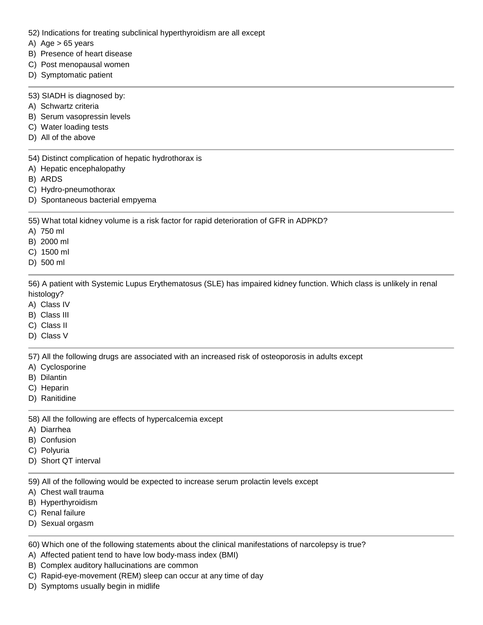- 52) Indications for treating subclinical hyperthyroidism are all except
- A) Age  $> 65$  years
- B) Presence of heart disease
- C) Post menopausal women
- D) Symptomatic patient
- 53) SIADH is diagnosed by:
- A) Schwartz criteria
- B) Serum vasopressin levels
- C) Water loading tests
- D) All of the above

54) Distinct complication of hepatic hydrothorax is

- A) Hepatic encephalopathy
- B) ARDS
- C) Hydro-pneumothorax
- D) Spontaneous bacterial empyema

55) What total kidney volume is a risk factor for rapid deterioration of GFR in ADPKD?

- A) 750 ml
- B) 2000 ml
- C) 1500 ml
- D) 500 ml

56) A patient with Systemic Lupus Erythematosus (SLE) has impaired kidney function. Which class is unlikely in renal histology?

- A) Class IV
- B) Class III
- C) Class II
- D) Class V

57) All the following drugs are associated with an increased risk of osteoporosis in adults except

- A) Cyclosporine
- B) Dilantin
- C) Heparin
- D) Ranitidine

58) All the following are effects of hypercalcemia except

- A) Diarrhea
- B) Confusion
- C) Polyuria
- D) Short QT interval

59) All of the following would be expected to increase serum prolactin levels except

- A) Chest wall trauma
- B) Hyperthyroidism
- C) Renal failure
- D) Sexual orgasm

60) Which one of the following statements about the clinical manifestations of narcolepsy is true?

- A) Affected patient tend to have low body-mass index (BMI)
- B) Complex auditory hallucinations are common
- C) Rapid-eye-movement (REM) sleep can occur at any time of day
- D) Symptoms usually begin in midlife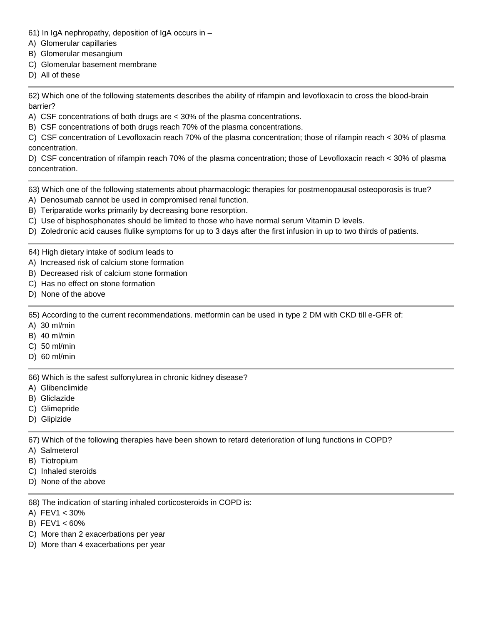- 61) In IgA nephropathy, deposition of IgA occurs in –
- A) Glomerular capillaries
- B) Glomerular mesangium
- C) Glomerular basement membrane
- D) All of these

62) Which one of the following statements describes the ability of rifampin and levofloxacin to cross the blood-brain barrier?

- A) CSF concentrations of both drugs are < 30% of the plasma concentrations.
- B) CSF concentrations of both drugs reach 70% of the plasma concentrations.

C) CSF concentration of Levofloxacin reach 70% of the plasma concentration; those of rifampin reach < 30% of plasma concentration.

D) CSF concentration of rifampin reach 70% of the plasma concentration; those of Levofloxacin reach < 30% of plasma concentration.

63) Which one of the following statements about pharmacologic therapies for postmenopausal osteoporosis is true?

- A) Denosumab cannot be used in compromised renal function.
- B) Teriparatide works primarily by decreasing bone resorption.
- C) Use of bisphosphonates should be limited to those who have normal serum Vitamin D levels.
- D) Zoledronic acid causes flulike symptoms for up to 3 days after the first infusion in up to two thirds of patients.

## 64) High dietary intake of sodium leads to

- A) Increased risk of calcium stone formation
- B) Decreased risk of calcium stone formation
- C) Has no effect on stone formation
- D) None of the above

65) According to the current recommendations. metformin can be used in type 2 DM with CKD till e-GFR of:

- A) 30 ml/min
- B) 40 ml/min
- C) 50 ml/min
- D) 60 ml/min

66) Which is the safest sulfonylurea in chronic kidney disease?

- A) Glibenclimide
- B) Gliclazide
- C) Glimepride
- D) Glipizide

67) Which of the following therapies have been shown to retard deterioration of lung functions in COPD?

- A) Salmeterol
- B) Tiotropium
- C) Inhaled steroids
- D) None of the above

68) The indication of starting inhaled corticosteroids in COPD is:

- A) FEV1 < 30%
- B) FEV1 < 60%
- C) More than 2 exacerbations per year
- D) More than 4 exacerbations per year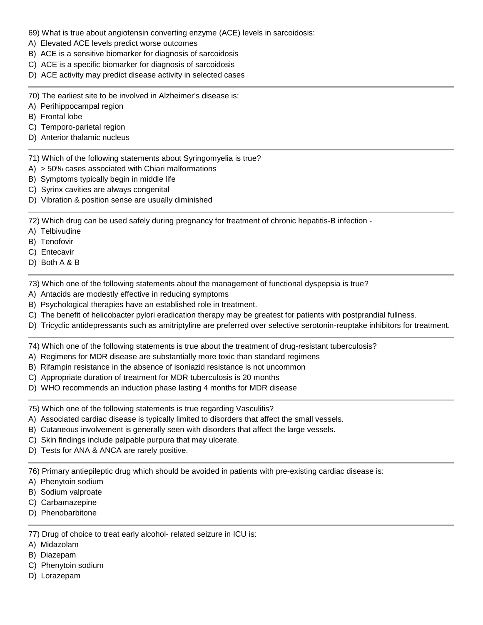- 69) What is true about angiotensin converting enzyme (ACE) levels in sarcoidosis:
- A) Elevated ACE levels predict worse outcomes
- B) ACE is a sensitive biomarker for diagnosis of sarcoidosis
- C) ACE is a specific biomarker for diagnosis of sarcoidosis
- D) ACE activity may predict disease activity in selected cases
- 70) The earliest site to be involved in Alzheimer's disease is:
- A) Perihippocampal region
- B) Frontal lobe
- C) Temporo-parietal region
- D) Anterior thalamic nucleus
- 71) Which of the following statements about Syringomyelia is true?
- A) > 50% cases associated with Chiari malformations
- B) Symptoms typically begin in middle life
- C) Syrinx cavities are always congenital
- D) Vibration & position sense are usually diminished

72) Which drug can be used safely during pregnancy for treatment of chronic hepatitis-B infection -

- A) Telbivudine
- B) Tenofovir
- C) Entecavir
- D) Both A & B

73) Which one of the following statements about the management of functional dyspepsia is true?

- A) Antacids are modestly effective in reducing symptoms
- B) Psychological therapies have an established role in treatment.
- C) The benefit of helicobacter pylori eradication therapy may be greatest for patients with postprandial fullness.
- D) Tricyclic antidepressants such as amitriptyline are preferred over selective serotonin-reuptake inhibitors for treatment.

74) Which one of the following statements is true about the treatment of drug-resistant tuberculosis?

- A) Regimens for MDR disease are substantially more toxic than standard regimens
- B) Rifampin resistance in the absence of isoniazid resistance is not uncommon
- C) Appropriate duration of treatment for MDR tuberculosis is 20 months
- D) WHO recommends an induction phase lasting 4 months for MDR disease

75) Which one of the following statements is true regarding Vasculitis?

- A) Associated cardiac disease is typically limited to disorders that affect the small vessels.
- B) Cutaneous involvement is generally seen with disorders that affect the large vessels.
- C) Skin findings include palpable purpura that may ulcerate.
- D) Tests for ANA & ANCA are rarely positive.

76) Primary antiepileptic drug which should be avoided in patients with pre-existing cardiac disease is:

- A) Phenytoin sodium
- B) Sodium valproate
- C) Carbamazepine
- D) Phenobarbitone

77) Drug of choice to treat early alcohol- related seizure in ICU is:

- A) Midazolam
- B) Diazepam
- C) Phenytoin sodium
- D) Lorazepam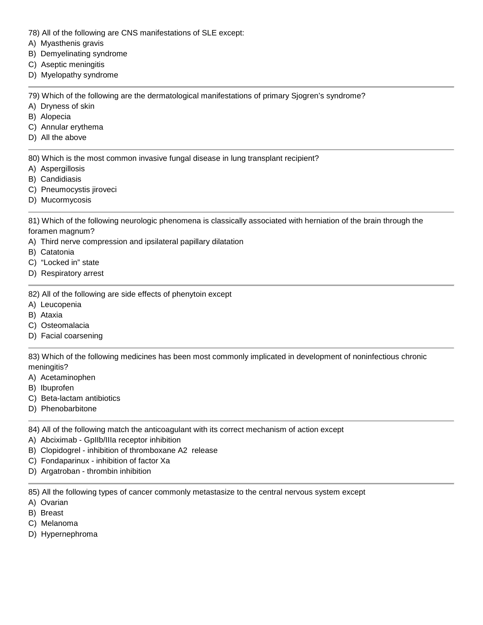- 78) All of the following are CNS manifestations of SLE except:
- A) Myasthenis gravis
- B) Demyelinating syndrome
- C) Aseptic meningitis
- D) Myelopathy syndrome

79) Which of the following are the dermatological manifestations of primary Sjogren's syndrome?

- A) Dryness of skin
- B) Alopecia
- C) Annular erythema
- D) All the above

80) Which is the most common invasive fungal disease in lung transplant recipient?

- A) Aspergillosis
- B) Candidiasis
- C) Pneumocystis jiroveci
- D) Mucormycosis

81) Which of the following neurologic phenomena is classically associated with herniation of the brain through the foramen magnum?

- A) Third nerve compression and ipsilateral papillary dilatation
- B) Catatonia
- C) "Locked in" state
- D) Respiratory arrest
- 82) All of the following are side effects of phenytoin except
- A) Leucopenia
- B) Ataxia
- C) Osteomalacia
- D) Facial coarsening

83) Which of the following medicines has been most commonly implicated in development of noninfectious chronic meningitis?

- A) Acetaminophen
- B) Ibuprofen
- C) Beta-lactam antibiotics
- D) Phenobarbitone

84) All of the following match the anticoagulant with its correct mechanism of action except

- A) Abciximab GpIIb/IIIa receptor inhibition
- B) Clopidogrel inhibition of thromboxane A2 release
- C) Fondaparinux inhibition of factor Xa
- D) Argatroban thrombin inhibition

85) All the following types of cancer commonly metastasize to the central nervous system except

- A) Ovarian
- B) Breast
- C) Melanoma
- D) Hypernephroma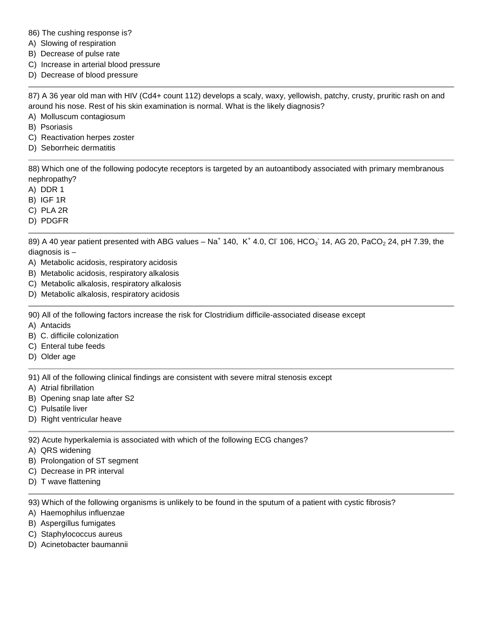86) The cushing response is?

- A) Slowing of respiration
- B) Decrease of pulse rate
- C) Increase in arterial blood pressure
- D) Decrease of blood pressure

87) A 36 year old man with HIV (Cd4+ count 112) develops a scaly, waxy, yellowish, patchy, crusty, pruritic rash on and around his nose. Rest of his skin examination is normal. What is the likely diagnosis?

- A) Molluscum contagiosum
- B) Psoriasis
- C) Reactivation herpes zoster
- D) Seborrheic dermatitis

88) Which one of the following podocyte receptors is targeted by an autoantibody associated with primary membranous nephropathy?

- A) DDR 1
- B) IGF 1R
- C) PLA 2R
- D) PDGFR

89) A 40 year patient presented with ABG values – Na<sup>+</sup> 140, K<sup>+</sup> 4.0, Cl<sup>-</sup> 106, HCO<sub>3</sub> 14, AG 20, PaCO<sub>2</sub> 24, pH 7.39, the diagnosis is –

- A) Metabolic acidosis, respiratory acidosis
- B) Metabolic acidosis, respiratory alkalosis
- C) Metabolic alkalosis, respiratory alkalosis
- D) Metabolic alkalosis, respiratory acidosis

90) All of the following factors increase the risk for Clostridium difficile-associated disease except

- A) Antacids
- B) C. difficile colonization
- C) Enteral tube feeds
- D) Older age

91) All of the following clinical findings are consistent with severe mitral stenosis except

- A) Atrial fibrillation
- B) Opening snap late after S2
- C) Pulsatile liver
- D) Right ventricular heave

92) Acute hyperkalemia is associated with which of the following ECG changes?

- A) QRS widening
- B) Prolongation of ST segment
- C) Decrease in PR interval
- D) T wave flattening

93) Which of the following organisms is unlikely to be found in the sputum of a patient with cystic fibrosis?

- A) Haemophilus influenzae
- B) Aspergillus fumigates
- C) Staphylococcus aureus
- D) Acinetobacter baumannii